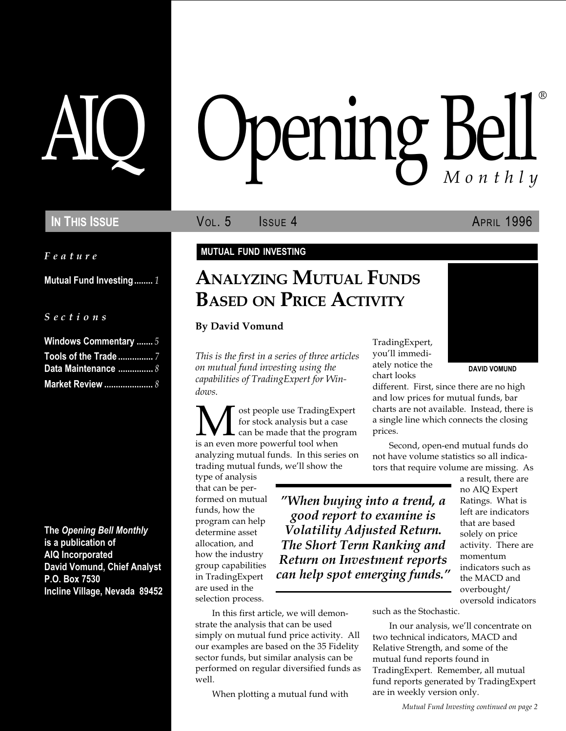Feature

Mutual Fund Investing........ 1

S e c t i o n s

| <b>Windows Commentary </b> 5 |  |
|------------------------------|--|
|                              |  |
| Data Maintenance  8          |  |
| <b>Market Review </b> 8      |  |

The Opening Bell Monthly is a publication of AIQ Incorporated David Vomund, Chief Analyst P.O. Box 7530 Incline Village, Nevada 89452

# pening Bell ®

IN THIS ISSUE **VOL. 5** ISSUE 4 APRIL 1996

### MUTUAL FUND INVESTING

# ANALYZING MUTUAL FUNDS BASED ON PRICE ACTIVITY

By David Vomund

This is the first in a series of three articles on mutual fund investing using the capabilities of TradingExpert for Windows.

**M** ost people use TradingExpert<br>for stock analysis but a case<br>is an even more powerful tool when for stock analysis but a case can be made that the program analyzing mutual funds. In this series on trading mutual funds, we'll show the

In this first article, we will demon-

When plotting a mutual fund with

strate the analysis that can be used simply on mutual fund price activity. All our examples are based on the 35 Fidelity sector funds, but similar analysis can be performed on regular diversified funds as

type of analysis that can be performed on mutual funds, how the program can help determine asset allocation, and how the industry group capabilities in TradingExpert are used in the selection process.

well.

When buying into a trend, a good report to examine is Volatility Adjusted Return. The Short Term Ranking and Return on Investment reports can help spot emerging funds.

TradingExpert, you'll immediately notice the chart looks



DAVID VOMUND

different. First, since there are no high and low prices for mutual funds, bar charts are not available. Instead, there is a single line which connects the closing prices.

Second, open-end mutual funds do not have volume statistics so all indicators that require volume are missing. As

> a result, there are no AIQ Expert Ratings. What is left are indicators that are based solely on price activity. There are momentum indicators such as the MACD and overbought/ oversold indicators

such as the Stochastic.

In our analysis, we'll concentrate on two technical indicators, MACD and Relative Strength, and some of the mutual fund reports found in TradingExpert. Remember, all mutual fund reports generated by TradingExpert are in weekly version only.

Mutual Fund Investing continued on page 2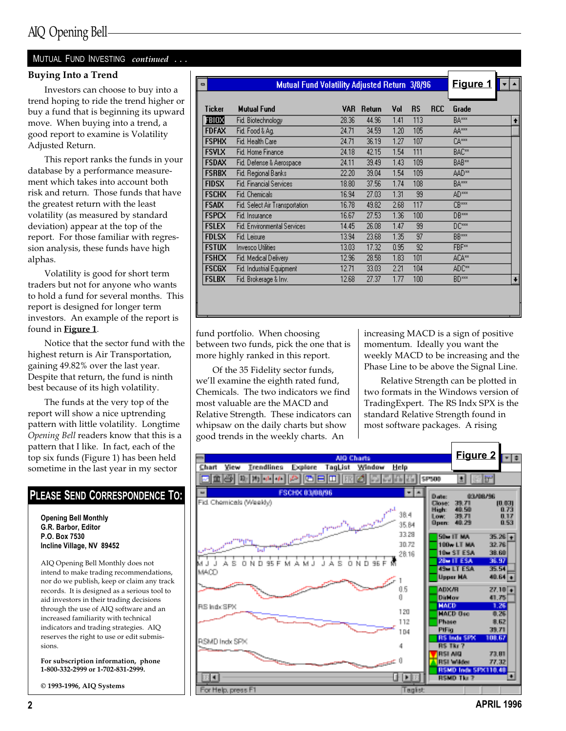### MUTUAL FUND INVESTING continued ...

Volatility is good for short term traders but not for anyone who wants to hold a fund for several months. This report is designed for longer term investors. An example of the report is found in **Figure 1**.

Notice that the sector fund with the highest return is Air Transportation, gaining 49.82% over the last year. Despite that return, the fund is ninth best because of its high volatility.

The funds at the very top of the report will show a nice uptrending pattern with little volatility. Longtime Opening Bell readers know that this is a pattern that I like. In fact, each of the top six funds (Figure 1) has been held sometime in the last year in my sector

### PLEASE SEND CORRESPONDENCE TO:

Opening Bell Monthly G.R. Barbor, Editor P.O. Box 7530 Incline Village, NV 89452

AIQ Opening Bell Monthly does not intend to make trading recommendations, nor do we publish, keep or claim any track records. It is designed as a serious tool to aid investors in their trading decisions through the use of AIQ software and an increased familiarity with technical indicators and trading strategies. AIQ reserves the right to use or edit submissions.

For subscription information, phone 1-800-332-2999 or 1-702-831-2999.

© 1993-1996, AIQ Systems

| <b>Buying Into a Trend</b>               |                              |                                               |       |        |      |           |            |                   |           |
|------------------------------------------|------------------------------|-----------------------------------------------|-------|--------|------|-----------|------------|-------------------|-----------|
|                                          | $\qquad \qquad \blacksquare$ | Mutual Fund Volatility Adjusted Return 3/8/96 |       |        |      |           |            | Figure 1          |           |
| Investors can choose to buy into a       |                              |                                               |       |        |      |           |            |                   |           |
| trend hoping to ride the trend higher or |                              |                                               |       |        |      |           |            |                   |           |
| buy a fund that is beginning its upward  | Ticker                       | <b>Mutual Fund</b>                            | VAR   | Return | Vol  | <b>RS</b> | <b>RCC</b> | Grade             |           |
| move. When buying into a trend, a        | FBIOX                        | Fid. Biotechnology                            | 28.36 | 44.96  | 1.41 | 113       |            | BA***             | $\bullet$ |
| good report to examine is Volatility     | <b>FDFAX</b>                 | Fid. Food & Ag.                               | 24.71 | 34.59  | 1.20 | 105       |            | AA***             |           |
| Adjusted Return.                         | <b>FSPHX</b>                 | Fid. Health Care                              | 24.71 | 36.19  | 1.27 | 107       |            | CA <sup>xxx</sup> |           |
|                                          | <b>FSVLX</b>                 | Fid. Home Finance                             | 24.18 | 42.15  | 1.54 | 111       |            | BAC**             |           |
| This report ranks the funds in your      | <b>FSDAX</b>                 | Fid. Defense & Aerospace                      | 24.11 | 39.49  | 1.43 | 109       |            | BAB**             |           |
| database by a performance measure-       | <b>FSRBX</b>                 | Fid. Regional Banks                           | 22.20 | 39.04  | 1.54 | 109       |            | AAD**             |           |
| ment which takes into account both       | <b>FIDSX</b>                 | <b>Fid. Financial Services</b>                | 18.80 | 37.56  | 1.74 | 108       |            | BA***             |           |
| risk and return. Those funds that have   | <b>FSCHX</b>                 | Fid. Chemicals                                | 16.94 | 27.03  | 1.31 | 99        |            | AD <sup>xxx</sup> |           |
| the greatest return with the least       | <b>FSAIX</b>                 | Fid. Select Air Transportation                | 16.78 | 49.82  | 2.68 | 117       |            | CB***             |           |
| volatility (as measured by standard      | <b>FSPCX</b>                 | Fid. Insurance                                | 16.67 | 27.53  | 1.36 | 100       |            | DB***             |           |
| deviation) appear at the top of the      | <b>FSLEX</b>                 | Fid. Environmental Services                   | 14.45 | 26.08  | 1.47 | 99        |            | DC***             |           |
| report. For those familiar with regres-  | <b>FDLSX</b>                 | Fid. Leisure                                  | 13.94 | 23.68  | 1.35 | 97        |            | BB***             |           |
| sion analysis, these funds have high     | <b>FSTUX</b>                 | Invesco Utilities                             | 13.03 | 17.32  | 0.95 | 92        |            | FBF**             |           |
| alphas.                                  | <b>FSHCX</b>                 | Fid. Medical Delivery                         | 12.96 | 28.58  | 1.83 | 101       |            | ACA**             |           |
| Volatility is good for short term        | <b>FSCGX</b>                 | Fid. Industrial Equipment                     | 12.71 | 33.03  | 2.21 | 104       |            | ADC**             |           |
| traders but not for anyone who wants     | <b>FSLBX</b>                 | Fid. Brokerage & Inv.                         | 12.68 | 27.37  | 1.77 | 100       |            | BD <sup>xxx</sup> |           |
| to hold a fund for several months This   |                              |                                               |       |        |      |           |            |                   |           |

fund portfolio. When choosing between two funds, pick the one that is more highly ranked in this report.

Of the 35 Fidelity sector funds, we'll examine the eighth rated fund, Chemicals. The two indicators we find most valuable are the MACD and Relative Strength. These indicators can whipsaw on the daily charts but show good trends in the weekly charts. An

increasing MACD is a sign of positive momentum. Ideally you want the weekly MACD to be increasing and the Phase Line to be above the Signal Line.

Relative Strength can be plotted in two formats in the Windows version of TradingExpert. The RS Indx SPX is the standard Relative Strength found in most software packages. A rising



2 APRIL 1996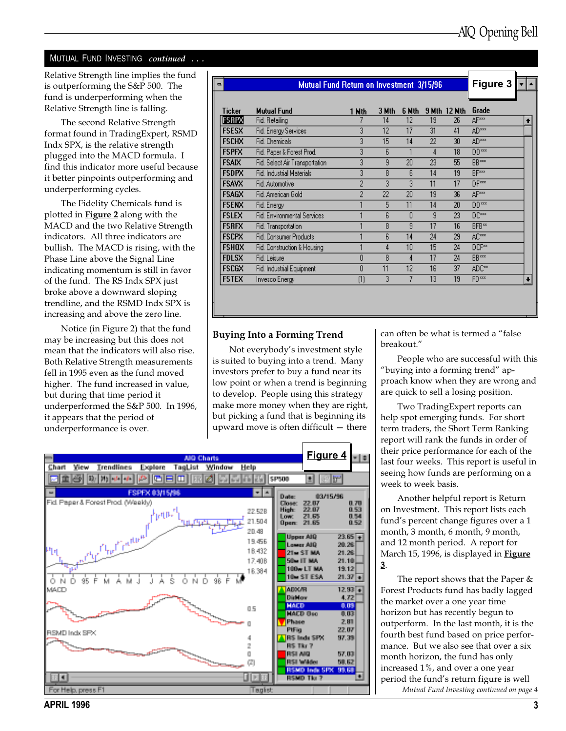### MUTUAL FUND INVESTING continued ...

Relative Strength line implies the fund is outperforming the S&P 500. The fund is underperforming when the Relative Strength line is falling.

The second Relative Strength format found in TradingExpert, RSMD Indx SPX, is the relative strength plugged into the MACD formula. I find this indicator more useful because it better pinpoints outperforming and underperforming cycles.

The Fidelity Chemicals fund is plotted in **Figure 2** along with the MACD and the two Relative Strength indicators. All three indicators are bullish. The MACD is rising, with the Phase Line above the Signal Line indicating momentum is still in favor of the fund. The RS Indx SPX just broke above a downward sloping trendline, and the RSMD Indx SPX is increasing and above the zero line.

Notice (in Figure 2) that the fund may be increasing but this does not mean that the indicators will also rise. Both Relative Strength measurements fell in 1995 even as the fund moved higher. The fund increased in value, but during that time period it underperformed the S&P 500. In 1996, it appears that the period of underperformance is over.

|              | Mutual Fund Return on Investment 3/15/96 |       |       |       |    |                     | Figure 3          |  |
|--------------|------------------------------------------|-------|-------|-------|----|---------------------|-------------------|--|
| Ticker       | <b>Mutual Fund</b>                       | 1 Mth | 3 Mth | 6 Mth |    | <b>9 Mth 12 Mth</b> | Grade             |  |
| <b>FSRPX</b> | Fid. Retailing                           |       | 14    | 12    | 19 | 26                  | AF***             |  |
| <b>FSESX</b> | Fid. Energy Services                     | 3     | 12    | 17    | 31 | 41                  | AD***             |  |
| <b>FSCHX</b> | Fid. Chemicals                           | 3     | 15    | 14    | 22 | 30                  | AD <sup>xxx</sup> |  |
| <b>FSPFX</b> | Fid. Paper & Forest Prod.                | 3     | 6     |       | 4  | 18                  | DD <sup>xxx</sup> |  |
| <b>FSAIX</b> | Fid. Select Air Transportation           | 3     | 9     | 20    | 23 | 55                  | <b>BB</b> ***     |  |
| <b>FSDPX</b> | Fid. Industrial Materials                | 3     | 8     | 6     | 14 | 19                  | <b>BF</b> ***     |  |
| <b>FSAVX</b> | Fid. Automotive                          | 2     | 3     | 3     | 11 | 17                  | DF***             |  |
| <b>FSAGX</b> | Fid. American Gold                       | 2     | 22    | 20    | 19 | 36                  | <b>AF</b> ***     |  |
| <b>FSENX</b> | Fid. Energy                              |       | 5     | 11    | 14 | 20                  | DD <sup>xxx</sup> |  |
| <b>FSLEX</b> | <b>Fid. Environmental Services</b>       |       | 6     | n     | 9  | 23                  | DC <sup>xxx</sup> |  |
| <b>FSRFX</b> | Fid. Transportation                      |       | 8     | 9     | 17 | 16                  | BFB**             |  |
| <b>FSCPX</b> | <b>Fid. Consumer Products</b>            |       | 6     | 14    | 24 | 29                  | AC <sup>xxx</sup> |  |
| <b>FSHOX</b> | Fid. Construction & Housing              |       | 4     | 10    | 15 | 24                  | DCF**             |  |
| <b>FDLSX</b> | Fid. Leisure                             | 0     | 8     | 4     | 17 | 24                  | BB***             |  |
| <b>FSCGX</b> | Fid. Industrial Equipment                | 0     | 11    | 12    | 16 | 37                  | ADC**             |  |
| <b>FSTEX</b> | Invesco Energy                           | (1)   | 3     | 7     | 13 | 19                  | FD <sup>xxx</sup> |  |

### Buying Into a Forming Trend

Not everybody's investment style is suited to buying into a trend. Many investors prefer to buy a fund near its low point or when a trend is beginning to develop. People using this strategy make more money when they are right, but picking a fund that is beginning its upward move is often difficult  $-$  there

can often be what is termed a "false" breakout.

People who are successful with this "buying into a forming trend" approach know when they are wrong and are quick to sell a losing position.

Two TradingExpert reports can help spot emerging funds. For short term traders, the Short Term Ranking report will rank the funds in order of their price performance for each of the last four weeks. This report is useful in seeing how funds are performing on a week to week basis.

Another helpful report is Return on Investment. This report lists each fund's percent change figures over a 1 month, 3 month, 6 month, 9 month, and 12 month period. A report for March 15, 1996, is displayed in **Figure** 3.

The report shows that the Paper & Forest Products fund has badly lagged the market over a one year time horizon but has recently begun to outperform. In the last month, it is the fourth best fund based on price performance. But we also see that over a six month horizon, the fund has only increased 1%, and over a one year period the fund's return figure is well Mutual Fund Investing continued on page 4

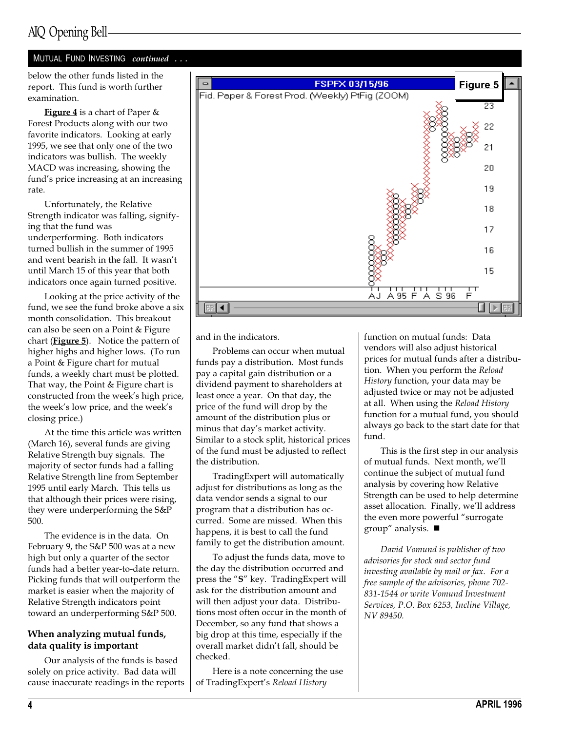## AIQ Opening Bell

### MUTUAL FUND INVESTING continued ...

below the other funds listed in the report. This fund is worth further examination.

Figure 4 is a chart of Paper & Forest Products along with our two favorite indicators. Looking at early 1995, we see that only one of the two indicators was bullish. The weekly MACD was increasing, showing the fund's price increasing at an increasing rate.

Unfortunately, the Relative Strength indicator was falling, signifying that the fund was underperforming. Both indicators turned bullish in the summer of 1995 and went bearish in the fall. It wasn't until March 15 of this year that both indicators once again turned positive.

Looking at the price activity of the fund, we see the fund broke above a six month consolidation. This breakout can also be seen on a Point & Figure chart ( $Figure 5$ ). Notice the pattern of higher highs and higher lows. (To run a Point & Figure chart for mutual funds, a weekly chart must be plotted. That way, the Point & Figure chart is constructed from the week's high price, the week's low price, and the week's closing price.)

At the time this article was written (March 16), several funds are giving Relative Strength buy signals. The majority of sector funds had a falling Relative Strength line from September 1995 until early March. This tells us that although their prices were rising, they were underperforming the S&P 500.

The evidence is in the data. On February 9, the S&P 500 was at a new high but only a quarter of the sector funds had a better year-to-date return. Picking funds that will outperform the market is easier when the majority of Relative Strength indicators point toward an underperforming S&P 500.

### When analyzing mutual funds, data quality is important

Our analysis of the funds is based solely on price activity. Bad data will cause inaccurate readings in the reports



and in the indicators.

Problems can occur when mutual funds pay a distribution. Most funds pay a capital gain distribution or a dividend payment to shareholders at least once a year. On that day, the price of the fund will drop by the amount of the distribution plus or minus that day's market activity. Similar to a stock split, historical prices of the fund must be adjusted to reflect the distribution.

TradingExpert will automatically adjust for distributions as long as the data vendor sends a signal to our program that a distribution has occurred. Some are missed. When this happens, it is best to call the fund family to get the distribution amount.

To adjust the funds data, move to the day the distribution occurred and press the "S" key. TradingExpert will ask for the distribution amount and will then adjust your data. Distributions most often occur in the month of December, so any fund that shows a big drop at this time, especially if the overall market didn't fall, should be checked.

Here is a note concerning the use of TradingExpert's Reload History

function on mutual funds: Data vendors will also adjust historical prices for mutual funds after a distribution. When you perform the Reload History function, your data may be adjusted twice or may not be adjusted at all. When using the Reload History function for a mutual fund, you should always go back to the start date for that fund.

This is the first step in our analysis of mutual funds. Next month, we'll continue the subject of mutual fund analysis by covering how Relative Strength can be used to help determine asset allocation. Finally, we'll address the even more powerful "surrogate group" analysis.  $\blacksquare$ 

David Vomund is publisher of two advisories for stock and sector fund investing available by mail or fax. For a free sample of the advisories, phone 702- 831-1544 or write Vomund Investment Services, P.O. Box 6253, Incline Village, NV 89450.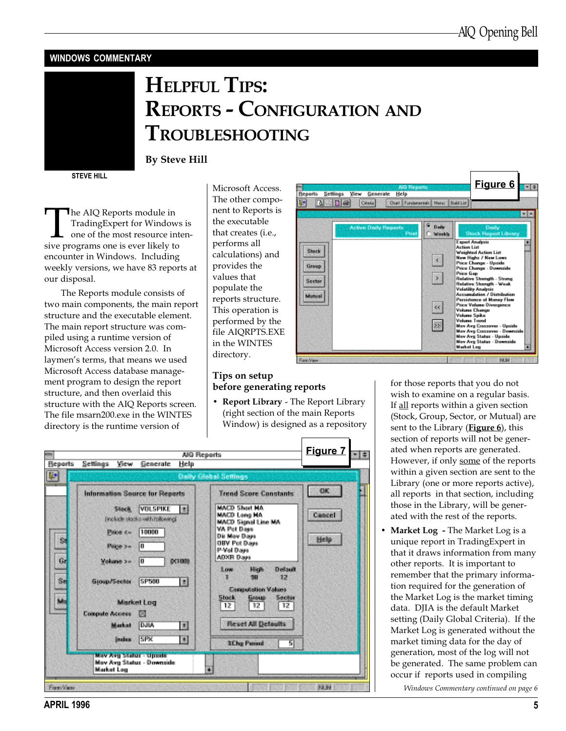### WINDOWS COMMENTARY

# HELPFUL TIPS: REPORTS - CONFIGURATION AND TROUBLESHOOTING

STEVE HILL

The AIQ Reports module in<br>TradingExpert for Windows<br>one of the most resource int<br>sive programs one is ever likely to TradingExpert for Windows is one of the most resource inten-

By Steve Hill

encounter in Windows. Including weekly versions, we have 83 reports at our disposal.

The Reports module consists of two main components, the main report structure and the executable element. The main report structure was compiled using a runtime version of Microsoft Access version 2.0. In laymen's terms, that means we used Microsoft Access database management program to design the report structure, and then overlaid this structure with the AIQ Reports screen. The file msarn200.exe in the WINTES directory is the runtime version of

Microsoft Access. The other component to Reports is the executable that creates (i.e., performs all calculations) and provides the values that populate the reports structure. This operation is performed by the file AIQRPTS.EXE in the WINTES directory.

### Tips on setup before generating reports

• Report Library - The Report Library (right section of the main Reports Window) is designed as a repository

|          |                                                                                                                | AIO Reserts                                                                                                                                                            | Figure 7<br>$\frac{1}{2}$ |
|----------|----------------------------------------------------------------------------------------------------------------|------------------------------------------------------------------------------------------------------------------------------------------------------------------------|---------------------------|
| Reports  | <b>Ticky</b><br>Settlings:<br>Generate                                                                         | Help                                                                                                                                                                   |                           |
| 画        |                                                                                                                | <b>Daily Global Settings</b>                                                                                                                                           |                           |
|          | <b>Information Source for Reports</b>                                                                          | <b>Trend Score Constants</b>                                                                                                                                           | <b>OK</b>                 |
| S)       | <b>VULSPIKE</b><br>Sileck.<br>Finalizabe islações visits Todoevinas<br>10000<br>Paine Kw 1<br>ात<br>Palderow - | MADD Shert Ho.<br>$\mathcal{L}$<br><b>MADD Long HA</b><br><b>MACD Signal Line MA</b><br>WA Pot Daws<br><b>Dir May Days</b><br><b>DBV Pot Dove</b><br><b>Print Days</b> | Cancel:<br>Help           |
| Gr<br>Sé | lō<br>Weighte 2m<br>5P500<br><b>Group/Sector</b>                                                               | <b>ADXR Days</b><br>0.1008<br><b>High</b><br>Divisori)<br>Low<br>选择<br>细菌<br>п<br>因<br><b>Computation Values</b>                                                       |                           |
| ist.     | Market Log<br><b>Compute Access</b><br>150<br><b>DUA</b><br>Market<br>Index SPX                                | <b>Shopk</b><br><b>Greece</b><br>Seolar<br>$12 \,$<br>12<br>12.<br><b>Reset All Detaults</b><br>11<br>$\overline{\mathbf{r}}$<br><b>3Che Period</b><br>न्न             |                           |
|          | Mey Ave Status - United<br>Mey Avo Status - Downside<br>Market Leg                                             | $\overline{\bullet}$                                                                                                                                                   |                           |



for those reports that you do not wish to examine on a regular basis. If all reports within a given section (Stock, Group, Sector, or Mutual) are sent to the Library (**Figure 6**), this section of reports will not be generated when reports are generated. However, if only some of the reports within a given section are sent to the Library (one or more reports active), all reports in that section, including those in the Library, will be generated with the rest of the reports.

• Market Log - The Market Log is a unique report in TradingExpert in that it draws information from many other reports. It is important to remember that the primary information required for the generation of the Market Log is the market timing data. DJIA is the default Market setting (Daily Global Criteria). If the Market Log is generated without the market timing data for the day of generation, most of the log will not be generated. The same problem can occur if reports used in compiling

Windows Commentary continued on page 6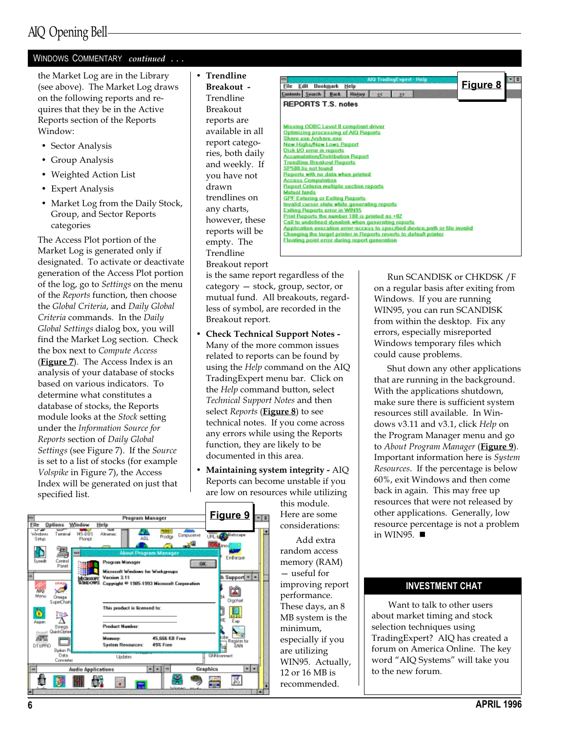### WINDOWS COMMENTARY continued ...

the Market Log are in the Library (see above). The Market Log draws on the following reports and requires that they be in the Active Reports section of the Reports Window:

- Sector Analysis
- Group Analysis
- Weighted Action List
- Expert Analysis
- Market Log from the Daily Stock, Group, and Sector Reports categories

The Access Plot portion of the Market Log is generated only if designated. To activate or deactivate generation of the Access Plot portion of the log, go to Settings on the menu of the Reports function, then choose the Global Criteria, and Daily Global Criteria commands. In the Daily Global Settings dialog box, you will find the Market Log section. Check the box next to Compute Access (**Figure**  $\overline{z}$ ). The Access Index is an analysis of your database of stocks based on various indicators. To determine what constitutes a database of stocks, the Reports module looks at the Stock setting under the Information Source for Reports section of Daily Global Settings (see Figure 7). If the Source is set to a list of stocks (for example Volspike in Figure 7), the Access Index will be generated on just that specified list.

• Trendline Breakout - Trendline Breakout reports are available in all report categories, both daily and weekly. If you have not drawn trendlines on any charts, however, these reports will be empty. The Trendline Breakout report

> is the same report regardless of the  $category - stock, group, sector, or$ mutual fund. All breakouts, regardless of symbol, are recorded in the Breakout report.

- Check Technical Support Notes Many of the more common issues related to reports can be found by using the *Help* command on the AIQ TradingExpert menu bar. Click on the Help command button, select Technical Support Notes and then select Reports (Figure 8) to see technical notes. If you come across any errors while using the Reports function, they are likely to be documented in this area.
- Maintaining system integrity AIQ Reports can become unstable if you are low on resources while utilizing

this module. Here are some considerations:

Add extra random access memory (RAM) useful for improving report performance. These days, an 8 MB system is the minimum, especially if you are utilizing WIN95. Actually, 12 or 16 MB is recommended.



Run SCANDISK or CHKDSK /F on a regular basis after exiting from Windows. If you are running WIN95, you can run SCANDISK from within the desktop. Fix any errors, especially misreported Windows temporary files which could cause problems.

Shut down any other applications that are running in the background. With the applications shutdown, make sure there is sufficient system resources still available. In Windows v3.11 and v3.1, click Help on the Program Manager menu and go to About Program Manager (Figure 9). Important information here is System Resources. If the percentage is below 60%, exit Windows and then come back in again. This may free up resources that were not released by other applications. Generally, low resource percentage is not a problem in WIN95.  $\blacksquare$ 

### INVESTMENT CHAT

Want to talk to other users about market timing and stock selection techniques using TradingExpert? AIQ has created a forum on America Online. The key word "AIQ Systems" will take you to the new forum.

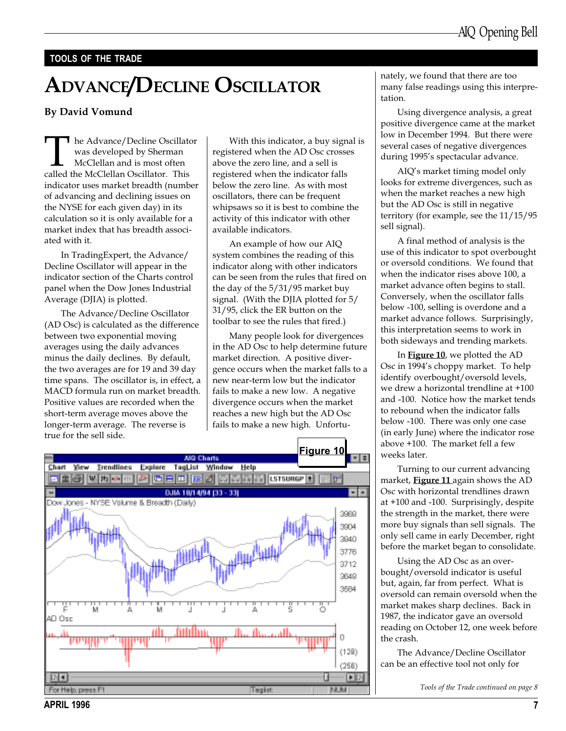### TOOLS OF THE TRADE

# ADVANCE/DECLINE OSCILLATOR

### By David Vomund

The Advance/Decline Oscillator<br>
was developed by Sherman<br>
McClellan and is most often<br>
called the McClellan Oscillator. This was developed by Sherman McClellan and is most often indicator uses market breadth (number of advancing and declining issues on the NYSE for each given day) in its calculation so it is only available for a market index that has breadth associated with it.

In TradingExpert, the Advance/ Decline Oscillator will appear in the indicator section of the Charts control panel when the Dow Jones Industrial Average (DJIA) is plotted.

The Advance/Decline Oscillator (AD Osc) is calculated as the difference between two exponential moving averages using the daily advances minus the daily declines. By default, the two averages are for 19 and 39 day time spans. The oscillator is, in effect, a MACD formula run on market breadth. Positive values are recorded when the short-term average moves above the longer-term average. The reverse is true for the sell side.

With this indicator, a buy signal is registered when the AD Osc crosses above the zero line, and a sell is registered when the indicator falls below the zero line. As with most oscillators, there can be frequent whipsaws so it is best to combine the activity of this indicator with other available indicators.

An example of how our AIQ system combines the reading of this indicator along with other indicators can be seen from the rules that fired on the day of the 5/31/95 market buy signal. (With the DJIA plotted for 5/ 31/95, click the ER button on the toolbar to see the rules that fired.)

Many people look for divergences in the AD Osc to help determine future market direction. A positive divergence occurs when the market falls to a new near-term low but the indicator fails to make a new low. A negative divergence occurs when the market reaches a new high but the AD Osc fails to make a new high. Unfortu-



nately, we found that there are too many false readings using this interpretation.

Using divergence analysis, a great positive divergence came at the market low in December 1994. But there were several cases of negative divergences during 1995's spectacular advance.

AIQ's market timing model only looks for extreme divergences, such as when the market reaches a new high but the AD Osc is still in negative territory (for example, see the 11/15/95 sell signal).

A final method of analysis is the use of this indicator to spot overbought or oversold conditions. We found that when the indicator rises above 100, a market advance often begins to stall. Conversely, when the oscillator falls below -100, selling is overdone and a market advance follows. Surprisingly, this interpretation seems to work in both sideways and trending markets.

In Figure 10, we plotted the AD Osc in 1994's choppy market. To help identify overbought/oversold levels, we drew a horizontal trendline at +100 and -100. Notice how the market tends to rebound when the indicator falls below -100. There was only one case (in early June) where the indicator rose above +100. The market fell a few weeks later.

Turning to our current advancing market, Figure 11 again shows the AD Osc with horizontal trendlines drawn at +100 and -100. Surprisingly, despite the strength in the market, there were more buy signals than sell signals. The only sell came in early December, right before the market began to consolidate.

Using the AD Osc as an overbought/oversold indicator is useful but, again, far from perfect. What is oversold can remain oversold when the market makes sharp declines. Back in 1987, the indicator gave an oversold reading on October 12, one week before the crash.

The Advance/Decline Oscillator can be an effective tool not only for

Tools of the Trade continued on page 8